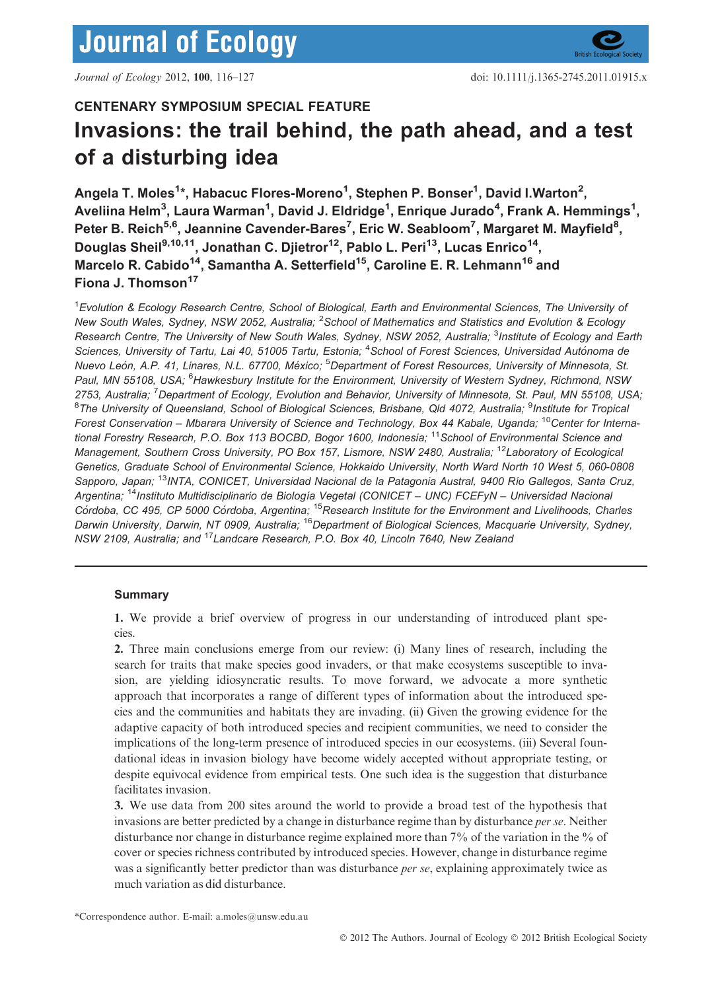Journal of Ecology 2012, 100, 116–127 doi: 10.1111/j.1365-2745.2011.01915.x

CENTENARY SYMPOSIUM SPECIAL FEATURE

# Invasions: the trail behind, the path ahead, and a test of a disturbing idea

Angela T. Moles<sup>1</sup>\*, Habacuc Flores-Moreno<sup>1</sup>, Stephen P. Bonser<sup>1</sup>, David I.Warton<sup>2</sup>, Aveliina Helm<sup>3</sup>, Laura Warman<sup>1</sup>, David J. Eldridge<sup>1</sup>, Enrique Jurado<sup>4</sup>, Frank A. Hemmings<sup>1</sup>, Peter B. Reich $^{5,6}$ , Jeannine Cavender-Bares $^7$ , Eric W. Seabloom $^7$ , Margaret M. Mayfield $^8\!$ Douglas Sheil<sup>9,10,11</sup>, Jonathan C. Djietror<sup>12</sup>, Pablo L. Peri<sup>13</sup>, Lucas Enrico<sup>14</sup>, Marcelo R. Cabido<sup>14</sup>, Samantha A. Setterfield<sup>15</sup>, Caroline E. R. Lehmann<sup>16</sup> and Fiona J. Thomson $17$ 

<sup>1</sup> Evolution & Ecology Research Centre, School of Biological, Earth and Environmental Sciences, The University oi New South Wales, Sydney, NSW 2052, Australia; <sup>2</sup>School of Mathematics and Statistics and Evolution & Ecology Research Centre, The University of New South Wales, Sydney, NSW 2052, Australia; <sup>3</sup>Institute of Ecology and Earth Sciences, University of Tartu, Lai 40, 51005 Tartu, Estonia; <sup>4</sup>School of Forest Sciences, Universidad Autónoma de Nuevo León, A.P. 41, Linares, N.L. 67700, México; <sup>5</sup>Department of Forest Resources, University of Minnesota, St. Paul, MN 55108, USA; <sup>6</sup>Hawkesbury Institute for the Environment, University of Western Sydney, Richmond, NSW 2753, Australia; <sup>7</sup>Department of Ecology, Evolution and Behavior, University of Minnesota, St. Paul, MN 55108, USA, <sup>8</sup>The University of Queensland, School of Biological Sciences, Brisbane, Qld 4072, Australia; <sup>9</sup>Institute for Tropical Forest Conservation – Mbarara University of Science and Technology, Box 44 Kabale, Uganda; <sup>10</sup>Center for International Forestry Research, P.O. Box 113 BOCBD, Bogor 1600, Indonesia; <sup>11</sup> School of Environmental Science and Management, Southern Cross University, PO Box 157, Lismore, NSW 2480, Australia; <sup>12</sup>Laboratory of Ecological Genetics, Graduate School of Environmental Science, Hokkaido University, North Ward North 10 West 5, 060-0808 Sapporo, Japan; <sup>13</sup>INTA, CONICET, Universidad Nacional de la Patagonia Austral, 9400 Río Gallegos, Santa Cruz, Argentina; <sup>14</sup>Instituto Multidisciplinario de Biología Vegetal (CONICET – UNC) FCEFyN – Universidad Nacional Córdoba, CC 495, CP 5000 Córdoba, Argentina; <sup>15</sup>Research Institute for the Environment and Livelihoods, Charles Darwin University, Darwin, NT 0909, Australia; <sup>16</sup>Department of Biological Sciences, Macquarie University, Sydney, NSW 2109, Australia; and <sup>17</sup> Landcare Research, P.O. Box 40, Lincoln 7640, New Zealand

# Summary

1. We provide a brief overview of progress in our understanding of introduced plant species.

2. Three main conclusions emerge from our review: (i) Many lines of research, including the search for traits that make species good invaders, or that make ecosystems susceptible to invasion, are yielding idiosyncratic results. To move forward, we advocate a more synthetic approach that incorporates a range of different types of information about the introduced species and the communities and habitats they are invading. (ii) Given the growing evidence for the adaptive capacity of both introduced species and recipient communities, we need to consider the implications of the long-term presence of introduced species in our ecosystems. (iii) Several foundational ideas in invasion biology have become widely accepted without appropriate testing, or despite equivocal evidence from empirical tests. One such idea is the suggestion that disturbance facilitates invasion.

3. We use data from 200 sites around the world to provide a broad test of the hypothesis that invasions are better predicted by a change in disturbance regime than by disturbance *per se*. Neither disturbance nor change in disturbance regime explained more than 7% of the variation in the % of cover or species richness contributed by introduced species. However, change in disturbance regime was a significantly better predictor than was disturbance *per se*, explaining approximately twice as much variation as did disturbance.

<sup>\*</sup>Correspondence author. E-mail: a.moles@unsw.edu.au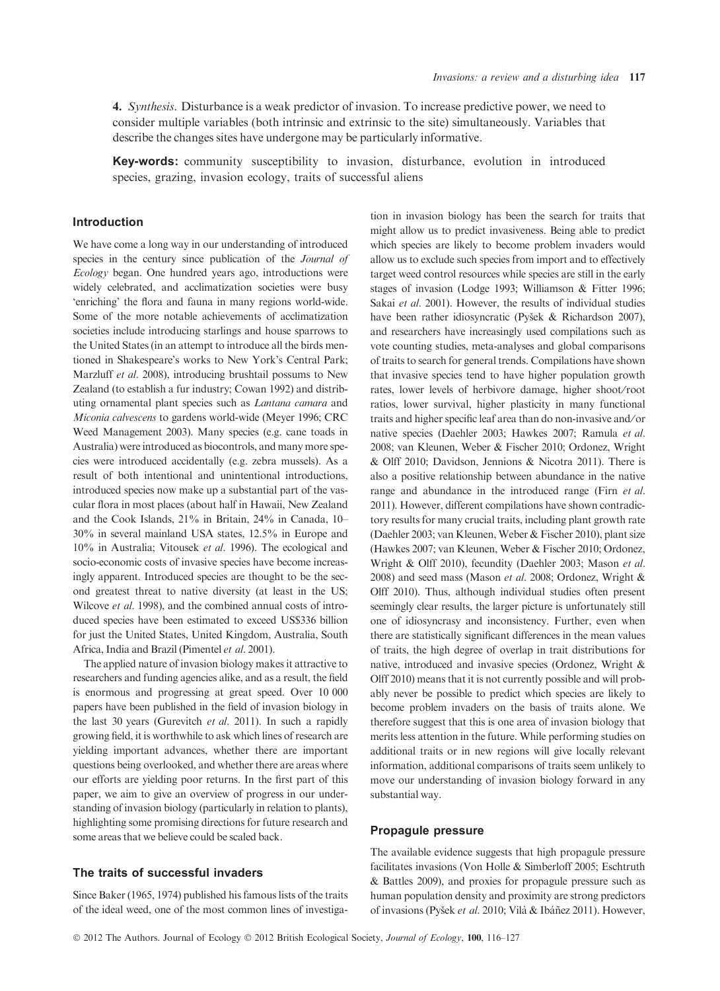4. Synthesis. Disturbance is a weak predictor of invasion. To increase predictive power, we need to consider multiple variables (both intrinsic and extrinsic to the site) simultaneously. Variables that describe the changes sites have undergone may be particularly informative.

Key-words: community susceptibility to invasion, disturbance, evolution in introduced species, grazing, invasion ecology, traits of successful aliens

## Introduction

We have come a long way in our understanding of introduced species in the century since publication of the Journal of Ecology began. One hundred years ago, introductions were widely celebrated, and acclimatization societies were busy 'enriching' the flora and fauna in many regions world-wide. Some of the more notable achievements of acclimatization societies include introducing starlings and house sparrows to the United States (in an attempt to introduce all the birds mentioned in Shakespeare's works to New York's Central Park; Marzluff et al. 2008), introducing brushtail possums to New Zealand (to establish a fur industry; Cowan 1992) and distributing ornamental plant species such as Lantana camara and Miconia calvescens to gardens world-wide (Meyer 1996; CRC Weed Management 2003). Many species (e.g. cane toads in Australia) were introduced as biocontrols, and many more species were introduced accidentally (e.g. zebra mussels). As a result of both intentional and unintentional introductions, introduced species now make up a substantial part of the vascular flora in most places (about half in Hawaii, New Zealand and the Cook Islands, 21% in Britain, 24% in Canada, 10– 30% in several mainland USA states, 12.5% in Europe and 10% in Australia; Vitousek et al. 1996). The ecological and socio-economic costs of invasive species have become increasingly apparent. Introduced species are thought to be the second greatest threat to native diversity (at least in the US; Wilcove et al. 1998), and the combined annual costs of introduced species have been estimated to exceed US\$336 billion for just the United States, United Kingdom, Australia, South Africa, India and Brazil (Pimentel et al. 2001).

The applied nature of invasion biology makes it attractive to researchers and funding agencies alike, and as a result, the field is enormous and progressing at great speed. Over 10 000 papers have been published in the field of invasion biology in the last 30 years (Gurevitch et al. 2011). In such a rapidly growing field, it is worthwhile to ask which lines of research are yielding important advances, whether there are important questions being overlooked, and whether there are areas where our efforts are yielding poor returns. In the first part of this paper, we aim to give an overview of progress in our understanding of invasion biology (particularly in relation to plants), highlighting some promising directions for future research and some areas that we believe could be scaled back.

## The traits of successful invaders

Since Baker (1965, 1974) published his famous lists of the traits of the ideal weed, one of the most common lines of investigation in invasion biology has been the search for traits that might allow us to predict invasiveness. Being able to predict which species are likely to become problem invaders would allow us to exclude such species from import and to effectively target weed control resources while species are still in the early stages of invasion (Lodge 1993; Williamson & Fitter 1996; Sakai et al. 2001). However, the results of individual studies have been rather idiosyncratic (Pyšek & Richardson 2007), and researchers have increasingly used compilations such as vote counting studies, meta-analyses and global comparisons of traits to search for general trends. Compilations have shown that invasive species tend to have higher population growth rates, lower levels of herbivore damage, higher shoot⁄root ratios, lower survival, higher plasticity in many functional traits and higher specific leaf area than do non-invasive and⁄ or native species (Daehler 2003; Hawkes 2007; Ramula et al. 2008; van Kleunen, Weber & Fischer 2010; Ordonez, Wright & Olff 2010; Davidson, Jennions & Nicotra 2011). There is also a positive relationship between abundance in the native range and abundance in the introduced range (Firn et al. 2011). However, different compilations have shown contradictory results for many crucial traits, including plant growth rate (Daehler 2003; van Kleunen, Weber & Fischer 2010), plant size (Hawkes 2007; van Kleunen, Weber & Fischer 2010; Ordonez, Wright & Olff 2010), fecundity (Daehler 2003; Mason et al. 2008) and seed mass (Mason et al. 2008; Ordonez, Wright & Olff 2010). Thus, although individual studies often present seemingly clear results, the larger picture is unfortunately still one of idiosyncrasy and inconsistency. Further, even when there are statistically significant differences in the mean values of traits, the high degree of overlap in trait distributions for native, introduced and invasive species (Ordonez, Wright & Olff 2010) means that it is not currently possible and will probably never be possible to predict which species are likely to become problem invaders on the basis of traits alone. We therefore suggest that this is one area of invasion biology that merits less attention in the future. While performing studies on additional traits or in new regions will give locally relevant information, additional comparisons of traits seem unlikely to move our understanding of invasion biology forward in any substantial way.

## Propagule pressure

The available evidence suggests that high propagule pressure facilitates invasions (Von Holle & Simberloff 2005; Eschtruth & Battles 2009), and proxies for propagule pressure such as human population density and proximity are strong predictors of invasions (Pyšek et al. 2010; Vilà & Ibáñez 2011). However,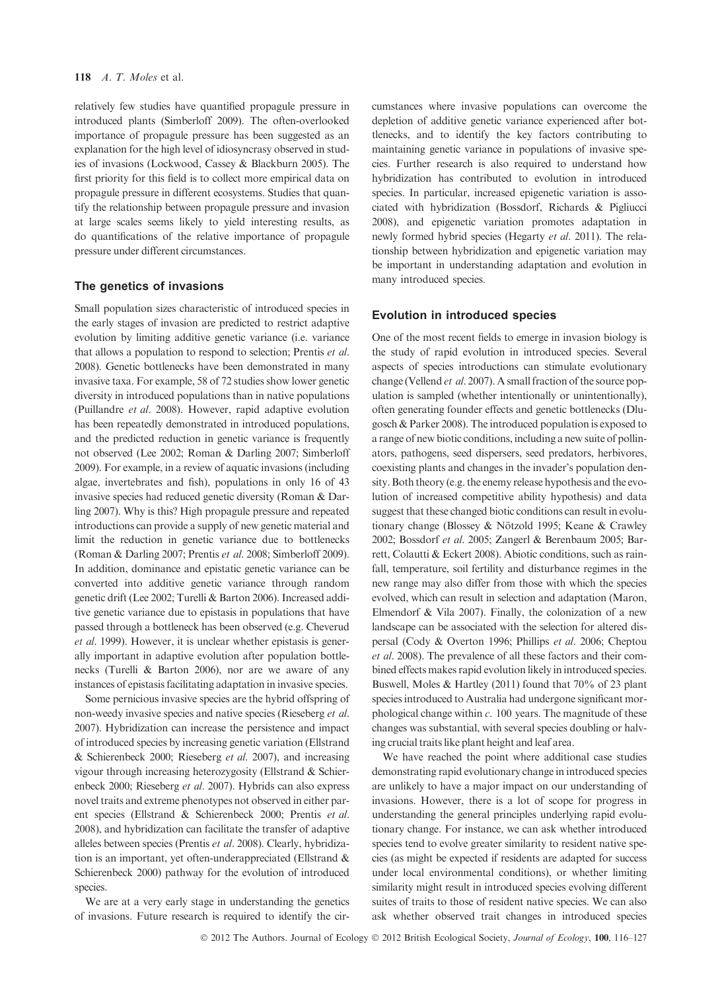relatively few studies have quantified propagule pressure in introduced plants (Simberloff 2009). The often-overlooked importance of propagule pressure has been suggested as an explanation for the high level of idiosyncrasy observed in studies of invasions (Lockwood, Cassey & Blackburn 2005). The first priority for this field is to collect more empirical data on propagule pressure in different ecosystems. Studies that quantify the relationship between propagule pressure and invasion at large scales seems likely to yield interesting results, as do quantifications of the relative importance of propagule pressure under different circumstances.

#### The genetics of invasions

Small population sizes characteristic of introduced species in the early stages of invasion are predicted to restrict adaptive evolution by limiting additive genetic variance (i.e. variance that allows a population to respond to selection; Prentis et al. 2008). Genetic bottlenecks have been demonstrated in many invasive taxa. For example, 58 of 72 studies show lower genetic diversity in introduced populations than in native populations (Puillandre et al. 2008). However, rapid adaptive evolution has been repeatedly demonstrated in introduced populations, and the predicted reduction in genetic variance is frequently not observed (Lee 2002; Roman & Darling 2007; Simberloff 2009). For example, in a review of aquatic invasions (including algae, invertebrates and fish), populations in only 16 of 43 invasive species had reduced genetic diversity (Roman & Darling 2007). Why is this? High propagule pressure and repeated introductions can provide a supply of new genetic material and limit the reduction in genetic variance due to bottlenecks (Roman & Darling 2007; Prentis et al. 2008; Simberloff 2009). In addition, dominance and epistatic genetic variance can be converted into additive genetic variance through random genetic drift (Lee 2002; Turelli & Barton 2006). Increased additive genetic variance due to epistasis in populations that have passed through a bottleneck has been observed (e.g. Cheverud et al. 1999). However, it is unclear whether epistasis is generally important in adaptive evolution after population bottlenecks (Turelli & Barton 2006), nor are we aware of any instances of epistasis facilitating adaptation in invasive species.

Some pernicious invasive species are the hybrid offspring of non-weedy invasive species and native species (Rieseberg et al. 2007). Hybridization can increase the persistence and impact of introduced species by increasing genetic variation (Ellstrand & Schierenbeck 2000; Rieseberg et al. 2007), and increasing vigour through increasing heterozygosity (Ellstrand & Schierenbeck 2000; Rieseberg et al. 2007). Hybrids can also express novel traits and extreme phenotypes not observed in either parent species (Ellstrand & Schierenbeck 2000; Prentis et al. 2008), and hybridization can facilitate the transfer of adaptive alleles between species (Prentis et al. 2008). Clearly, hybridization is an important, yet often-underappreciated (Ellstrand & Schierenbeck 2000) pathway for the evolution of introduced species.

We are at a very early stage in understanding the genetics of invasions. Future research is required to identify the circumstances where invasive populations can overcome the depletion of additive genetic variance experienced after bottlenecks, and to identify the key factors contributing to maintaining genetic variance in populations of invasive species. Further research is also required to understand how hybridization has contributed to evolution in introduced species. In particular, increased epigenetic variation is associated with hybridization (Bossdorf, Richards & Pigliucci 2008), and epigenetic variation promotes adaptation in newly formed hybrid species (Hegarty et al. 2011). The relationship between hybridization and epigenetic variation may be important in understanding adaptation and evolution in many introduced species.

#### Evolution in introduced species

One of the most recent fields to emerge in invasion biology is the study of rapid evolution in introduced species. Several aspects of species introductions can stimulate evolutionary change (Vellend et al. 2007). A small fraction of the source population is sampled (whether intentionally or unintentionally), often generating founder effects and genetic bottlenecks (Dlugosch & Parker 2008). The introduced population is exposed to a range of new biotic conditions, including a new suite of pollinators, pathogens, seed dispersers, seed predators, herbivores, coexisting plants and changes in the invader's population density. Both theory (e.g. the enemy release hypothesis and the evolution of increased competitive ability hypothesis) and data suggest that these changed biotic conditions can result in evolutionary change (Blossey & Nötzold 1995; Keane & Crawley 2002; Bossdorf et al. 2005; Zangerl & Berenbaum 2005; Barrett, Colautti & Eckert 2008). Abiotic conditions, such as rainfall, temperature, soil fertility and disturbance regimes in the new range may also differ from those with which the species evolved, which can result in selection and adaptation (Maron, Elmendorf & Vila 2007). Finally, the colonization of a new landscape can be associated with the selection for altered dispersal (Cody & Overton 1996; Phillips et al. 2006; Cheptou et al. 2008). The prevalence of all these factors and their combined effects makes rapid evolution likely in introduced species. Buswell, Moles & Hartley (2011) found that 70% of 23 plant species introduced to Australia had undergone significant morphological change within  $c$ . 100 years. The magnitude of these changes was substantial, with several species doubling or halving crucial traits like plant height and leaf area.

We have reached the point where additional case studies demonstrating rapid evolutionary change in introduced species are unlikely to have a major impact on our understanding of invasions. However, there is a lot of scope for progress in understanding the general principles underlying rapid evolutionary change. For instance, we can ask whether introduced species tend to evolve greater similarity to resident native species (as might be expected if residents are adapted for success under local environmental conditions), or whether limiting similarity might result in introduced species evolving different suites of traits to those of resident native species. We can also ask whether observed trait changes in introduced species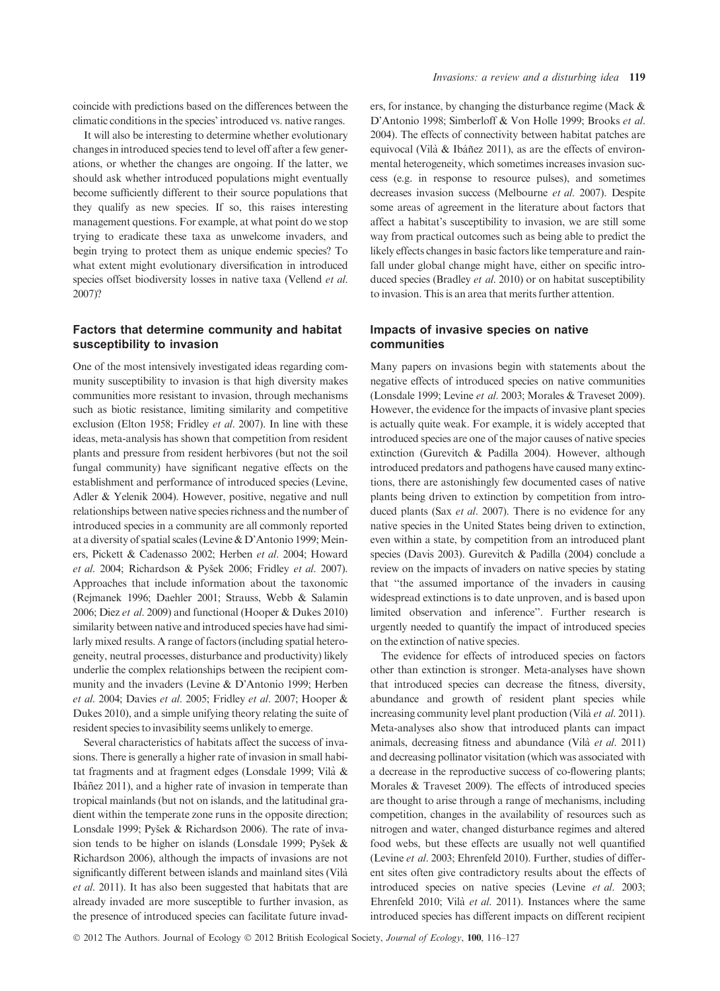coincide with predictions based on the differences between the climatic conditions in the species' introduced vs. native ranges.

It will also be interesting to determine whether evolutionary changes in introduced species tend to level off after a few generations, or whether the changes are ongoing. If the latter, we should ask whether introduced populations might eventually become sufficiently different to their source populations that they qualify as new species. If so, this raises interesting management questions. For example, at what point do we stop trying to eradicate these taxa as unwelcome invaders, and begin trying to protect them as unique endemic species? To what extent might evolutionary diversification in introduced species offset biodiversity losses in native taxa (Vellend et al. 2007)?

## Factors that determine community and habitat susceptibility to invasion

One of the most intensively investigated ideas regarding community susceptibility to invasion is that high diversity makes communities more resistant to invasion, through mechanisms such as biotic resistance, limiting similarity and competitive exclusion (Elton 1958; Fridley et al. 2007). In line with these ideas, meta-analysis has shown that competition from resident plants and pressure from resident herbivores (but not the soil fungal community) have significant negative effects on the establishment and performance of introduced species (Levine, Adler & Yelenik 2004). However, positive, negative and null relationships between native species richness and the number of introduced species in a community are all commonly reported at a diversity of spatial scales (Levine & D'Antonio 1999; Meiners, Pickett & Cadenasso 2002; Herben et al. 2004; Howard et al. 2004; Richardson & Pyšek 2006; Fridley et al. 2007). Approaches that include information about the taxonomic (Rejmanek 1996; Daehler 2001; Strauss, Webb & Salamin 2006; Diez et al. 2009) and functional (Hooper & Dukes 2010) similarity between native and introduced species have had similarly mixed results. A range of factors (including spatial heterogeneity, neutral processes, disturbance and productivity) likely underlie the complex relationships between the recipient community and the invaders (Levine & D'Antonio 1999; Herben et al. 2004; Davies et al. 2005; Fridley et al. 2007; Hooper & Dukes 2010), and a simple unifying theory relating the suite of resident species to invasibility seems unlikely to emerge.

Several characteristics of habitats affect the success of invasions. There is generally a higher rate of invasion in small habitat fragments and at fragment edges (Lonsdale 1999; Vilà & Ibáñez 2011), and a higher rate of invasion in temperate than tropical mainlands (but not on islands, and the latitudinal gradient within the temperate zone runs in the opposite direction; Lonsdale 1999; Pyšek & Richardson 2006). The rate of invasion tends to be higher on islands (Lonsdale 1999; Pyšek  $\&$ Richardson 2006), although the impacts of invasions are not significantly different between islands and mainland sites (Vila` et al. 2011). It has also been suggested that habitats that are already invaded are more susceptible to further invasion, as the presence of introduced species can facilitate future invaders, for instance, by changing the disturbance regime (Mack & D'Antonio 1998; Simberloff & Von Holle 1999; Brooks et al. 2004). The effects of connectivity between habitat patches are equivocal (Vilà & Ibáñez 2011), as are the effects of environmental heterogeneity, which sometimes increases invasion success (e.g. in response to resource pulses), and sometimes decreases invasion success (Melbourne et al. 2007). Despite some areas of agreement in the literature about factors that affect a habitat's susceptibility to invasion, we are still some way from practical outcomes such as being able to predict the likely effects changes in basic factors like temperature and rainfall under global change might have, either on specific introduced species (Bradley et al. 2010) or on habitat susceptibility to invasion. This is an area that merits further attention.

## Impacts of invasive species on native communities

Many papers on invasions begin with statements about the negative effects of introduced species on native communities (Lonsdale 1999; Levine et al. 2003; Morales & Traveset 2009). However, the evidence for the impacts of invasive plant species is actually quite weak. For example, it is widely accepted that introduced species are one of the major causes of native species extinction (Gurevitch & Padilla 2004). However, although introduced predators and pathogens have caused many extinctions, there are astonishingly few documented cases of native plants being driven to extinction by competition from introduced plants (Sax et al. 2007). There is no evidence for any native species in the United States being driven to extinction, even within a state, by competition from an introduced plant species (Davis 2003). Gurevitch & Padilla (2004) conclude a review on the impacts of invaders on native species by stating that ''the assumed importance of the invaders in causing widespread extinctions is to date unproven, and is based upon limited observation and inference''. Further research is urgently needed to quantify the impact of introduced species on the extinction of native species.

The evidence for effects of introduced species on factors other than extinction is stronger. Meta-analyses have shown that introduced species can decrease the fitness, diversity, abundance and growth of resident plant species while increasing community level plant production (Vilà et al. 2011). Meta-analyses also show that introduced plants can impact animals, decreasing fitness and abundance (Vilà et al. 2011) and decreasing pollinator visitation (which was associated with a decrease in the reproductive success of co-flowering plants; Morales & Traveset 2009). The effects of introduced species are thought to arise through a range of mechanisms, including competition, changes in the availability of resources such as nitrogen and water, changed disturbance regimes and altered food webs, but these effects are usually not well quantified (Levine et al. 2003; Ehrenfeld 2010). Further, studies of different sites often give contradictory results about the effects of introduced species on native species (Levine et al. 2003; Ehrenfeld 2010; Vilà et al. 2011). Instances where the same introduced species has different impacts on different recipient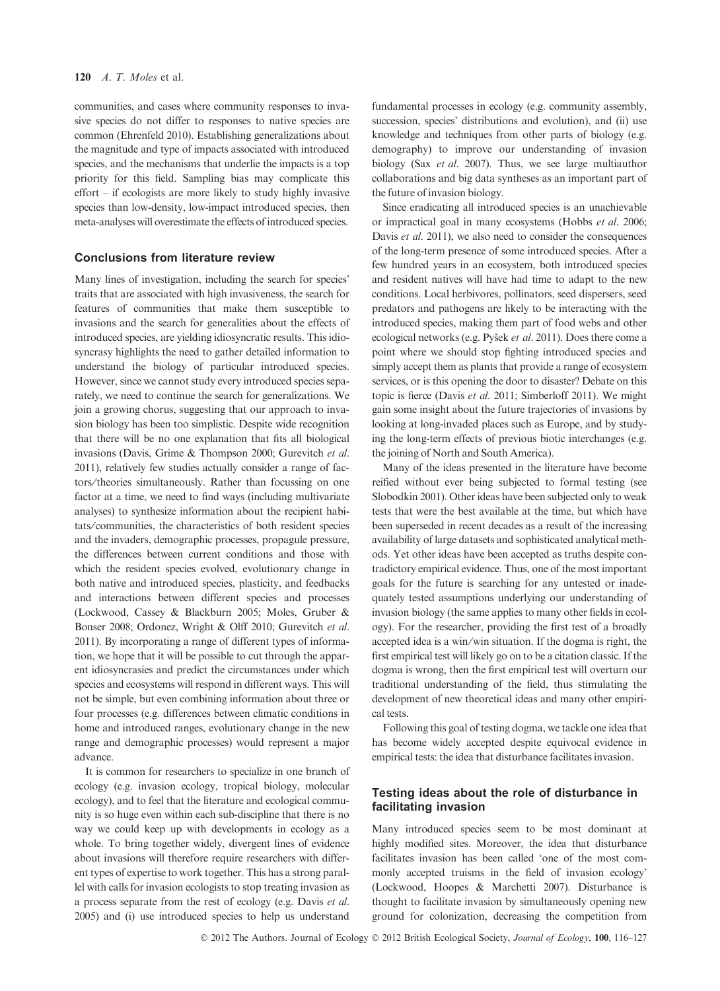communities, and cases where community responses to invasive species do not differ to responses to native species are common (Ehrenfeld 2010). Establishing generalizations about the magnitude and type of impacts associated with introduced species, and the mechanisms that underlie the impacts is a top priority for this field. Sampling bias may complicate this effort – if ecologists are more likely to study highly invasive species than low-density, low-impact introduced species, then meta-analyses will overestimate the effects of introduced species.

## Conclusions from literature review

Many lines of investigation, including the search for species' traits that are associated with high invasiveness, the search for features of communities that make them susceptible to invasions and the search for generalities about the effects of introduced species, are yielding idiosyncratic results. This idiosyncrasy highlights the need to gather detailed information to understand the biology of particular introduced species. However, since we cannot study every introduced species separately, we need to continue the search for generalizations. We join a growing chorus, suggesting that our approach to invasion biology has been too simplistic. Despite wide recognition that there will be no one explanation that fits all biological invasions (Davis, Grime & Thompson 2000; Gurevitch et al. 2011), relatively few studies actually consider a range of factors⁄theories simultaneously. Rather than focussing on one factor at a time, we need to find ways (including multivariate analyses) to synthesize information about the recipient habitats⁄ communities, the characteristics of both resident species and the invaders, demographic processes, propagule pressure, the differences between current conditions and those with which the resident species evolved, evolutionary change in both native and introduced species, plasticity, and feedbacks and interactions between different species and processes (Lockwood, Cassey & Blackburn 2005; Moles, Gruber & Bonser 2008; Ordonez, Wright & Olff 2010; Gurevitch et al. 2011). By incorporating a range of different types of information, we hope that it will be possible to cut through the apparent idiosyncrasies and predict the circumstances under which species and ecosystems will respond in different ways. This will not be simple, but even combining information about three or four processes (e.g. differences between climatic conditions in home and introduced ranges, evolutionary change in the new range and demographic processes) would represent a major advance.

It is common for researchers to specialize in one branch of ecology (e.g. invasion ecology, tropical biology, molecular ecology), and to feel that the literature and ecological community is so huge even within each sub-discipline that there is no way we could keep up with developments in ecology as a whole. To bring together widely, divergent lines of evidence about invasions will therefore require researchers with different types of expertise to work together. This has a strong parallel with calls for invasion ecologists to stop treating invasion as a process separate from the rest of ecology (e.g. Davis et al. 2005) and (i) use introduced species to help us understand

fundamental processes in ecology (e.g. community assembly, succession, species' distributions and evolution), and (ii) use knowledge and techniques from other parts of biology (e.g. demography) to improve our understanding of invasion biology (Sax et al. 2007). Thus, we see large multiauthor collaborations and big data syntheses as an important part of the future of invasion biology.

Since eradicating all introduced species is an unachievable or impractical goal in many ecosystems (Hobbs et al. 2006; Davis et al. 2011), we also need to consider the consequences of the long-term presence of some introduced species. After a few hundred years in an ecosystem, both introduced species and resident natives will have had time to adapt to the new conditions. Local herbivores, pollinators, seed dispersers, seed predators and pathogens are likely to be interacting with the introduced species, making them part of food webs and other ecological networks (e.g. Pyšek et al. 2011). Does there come a point where we should stop fighting introduced species and simply accept them as plants that provide a range of ecosystem services, or is this opening the door to disaster? Debate on this topic is fierce (Davis et al. 2011; Simberloff 2011). We might gain some insight about the future trajectories of invasions by looking at long-invaded places such as Europe, and by studying the long-term effects of previous biotic interchanges (e.g. the joining of North and South America).

Many of the ideas presented in the literature have become reified without ever being subjected to formal testing (see Slobodkin 2001). Other ideas have been subjected only to weak tests that were the best available at the time, but which have been superseded in recent decades as a result of the increasing availability of large datasets and sophisticated analytical methods. Yet other ideas have been accepted as truths despite contradictory empirical evidence. Thus, one of the most important goals for the future is searching for any untested or inadequately tested assumptions underlying our understanding of invasion biology (the same applies to many other fields in ecology). For the researcher, providing the first test of a broadly accepted idea is a win/win situation. If the dogma is right, the first empirical test will likely go on to be a citation classic. If the dogma is wrong, then the first empirical test will overturn our traditional understanding of the field, thus stimulating the development of new theoretical ideas and many other empirical tests.

Following this goal of testing dogma, we tackle one idea that has become widely accepted despite equivocal evidence in empirical tests: the idea that disturbance facilitates invasion.

## Testing ideas about the role of disturbance in facilitating invasion

Many introduced species seem to be most dominant at highly modified sites. Moreover, the idea that disturbance facilitates invasion has been called 'one of the most commonly accepted truisms in the field of invasion ecology' (Lockwood, Hoopes & Marchetti 2007). Disturbance is thought to facilitate invasion by simultaneously opening new ground for colonization, decreasing the competition from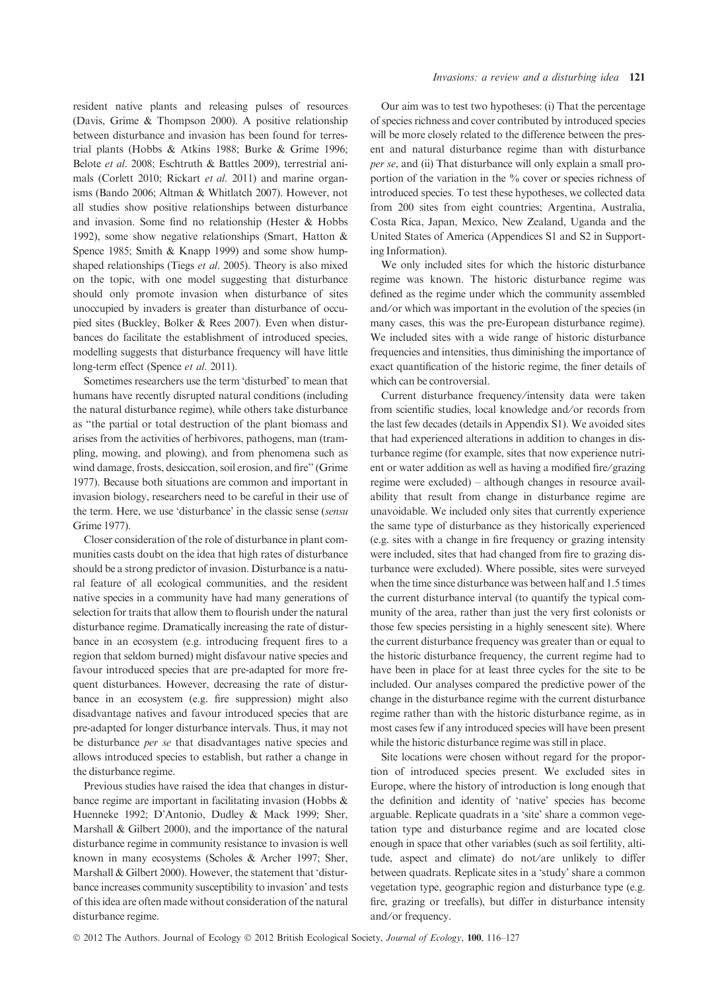resident native plants and releasing pulses of resources (Davis, Grime & Thompson 2000). A positive relationship between disturbance and invasion has been found for terrestrial plants (Hobbs & Atkins 1988; Burke & Grime 1996; Belote et al. 2008; Eschtruth & Battles 2009), terrestrial animals (Corlett 2010; Rickart et al. 2011) and marine organisms (Bando 2006; Altman & Whitlatch 2007). However, not all studies show positive relationships between disturbance and invasion. Some find no relationship (Hester & Hobbs 1992), some show negative relationships (Smart, Hatton & Spence 1985; Smith & Knapp 1999) and some show humpshaped relationships (Tiegs et al. 2005). Theory is also mixed on the topic, with one model suggesting that disturbance should only promote invasion when disturbance of sites unoccupied by invaders is greater than disturbance of occupied sites (Buckley, Bolker & Rees 2007). Even when disturbances do facilitate the establishment of introduced species, modelling suggests that disturbance frequency will have little long-term effect (Spence et al. 2011).

Sometimes researchers use the term 'disturbed' to mean that humans have recently disrupted natural conditions (including the natural disturbance regime), while others take disturbance as ''the partial or total destruction of the plant biomass and arises from the activities of herbivores, pathogens, man (trampling, mowing, and plowing), and from phenomena such as wind damage, frosts, desiccation, soil erosion, and fire'' (Grime 1977). Because both situations are common and important in invasion biology, researchers need to be careful in their use of the term. Here, we use 'disturbance' in the classic sense (sensu Grime 1977).

Closer consideration of the role of disturbance in plant communities casts doubt on the idea that high rates of disturbance should be a strong predictor of invasion. Disturbance is a natural feature of all ecological communities, and the resident native species in a community have had many generations of selection for traits that allow them to flourish under the natural disturbance regime. Dramatically increasing the rate of disturbance in an ecosystem (e.g. introducing frequent fires to a region that seldom burned) might disfavour native species and favour introduced species that are pre-adapted for more frequent disturbances. However, decreasing the rate of disturbance in an ecosystem (e.g. fire suppression) might also disadvantage natives and favour introduced species that are pre-adapted for longer disturbance intervals. Thus, it may not be disturbance per se that disadvantages native species and allows introduced species to establish, but rather a change in the disturbance regime.

Previous studies have raised the idea that changes in disturbance regime are important in facilitating invasion (Hobbs & Huenneke 1992; D'Antonio, Dudley & Mack 1999; Sher, Marshall & Gilbert 2000), and the importance of the natural disturbance regime in community resistance to invasion is well known in many ecosystems (Scholes & Archer 1997; Sher, Marshall & Gilbert 2000). However, the statement that 'disturbance increases community susceptibility to invasion' and tests of this idea are often made without consideration of the natural disturbance regime.

Our aim was to test two hypotheses: (i) That the percentage of species richness and cover contributed by introduced species will be more closely related to the difference between the present and natural disturbance regime than with disturbance per se, and (ii) That disturbance will only explain a small proportion of the variation in the % cover or species richness of introduced species. To test these hypotheses, we collected data from 200 sites from eight countries; Argentina, Australia, Costa Rica, Japan, Mexico, New Zealand, Uganda and the United States of America (Appendices S1 and S2 in Supporting Information).

We only included sites for which the historic disturbance regime was known. The historic disturbance regime was defined as the regime under which the community assembled and⁄ or which was important in the evolution of the species (in many cases, this was the pre-European disturbance regime). We included sites with a wide range of historic disturbance frequencies and intensities, thus diminishing the importance of exact quantification of the historic regime, the finer details of which can be controversial.

Current disturbance frequency/intensity data were taken from scientific studies, local knowledge and/or records from the last few decades (details in Appendix S1). We avoided sites that had experienced alterations in addition to changes in disturbance regime (for example, sites that now experience nutrient or water addition as well as having a modified fire ⁄ grazing regime were excluded) – although changes in resource availability that result from change in disturbance regime are unavoidable. We included only sites that currently experience the same type of disturbance as they historically experienced (e.g. sites with a change in fire frequency or grazing intensity were included, sites that had changed from fire to grazing disturbance were excluded). Where possible, sites were surveyed when the time since disturbance was between half and 1.5 times the current disturbance interval (to quantify the typical community of the area, rather than just the very first colonists or those few species persisting in a highly senescent site). Where the current disturbance frequency was greater than or equal to the historic disturbance frequency, the current regime had to have been in place for at least three cycles for the site to be included. Our analyses compared the predictive power of the change in the disturbance regime with the current disturbance regime rather than with the historic disturbance regime, as in most cases few if any introduced species will have been present while the historic disturbance regime was still in place.

Site locations were chosen without regard for the proportion of introduced species present. We excluded sites in Europe, where the history of introduction is long enough that the definition and identity of 'native' species has become arguable. Replicate quadrats in a 'site' share a common vegetation type and disturbance regime and are located close enough in space that other variables (such as soil fertility, altitude, aspect and climate) do not⁄ are unlikely to differ between quadrats. Replicate sites in a 'study' share a common vegetation type, geographic region and disturbance type (e.g. fire, grazing or treefalls), but differ in disturbance intensity and⁄ or frequency.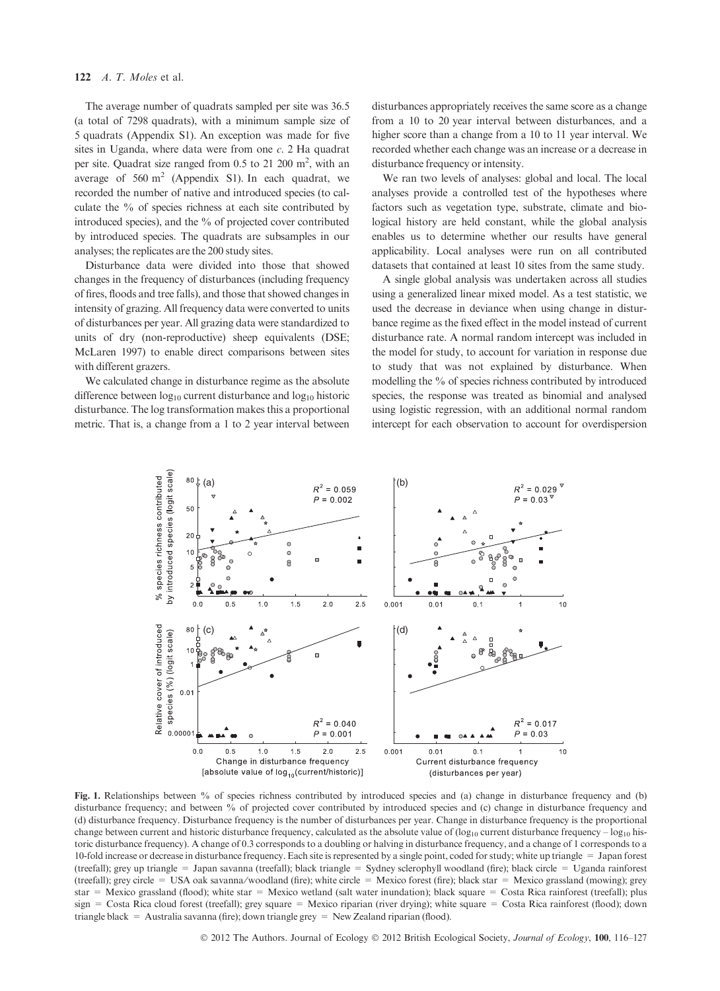The average number of quadrats sampled per site was 36.5 (a total of 7298 quadrats), with a minimum sample size of 5 quadrats (Appendix S1). An exception was made for five sites in Uganda, where data were from one c. 2 Ha quadrat per site. Quadrat size ranged from 0.5 to 21 200 m<sup>2</sup>, with an average of  $560 \text{ m}^2$  (Appendix S1). In each quadrat, we recorded the number of native and introduced species (to calculate the % of species richness at each site contributed by introduced species), and the % of projected cover contributed by introduced species. The quadrats are subsamples in our analyses; the replicates are the 200 study sites.

Disturbance data were divided into those that showed changes in the frequency of disturbances (including frequency of fires, floods and tree falls), and those that showed changes in intensity of grazing. All frequency data were converted to units of disturbances per year. All grazing data were standardized to units of dry (non-reproductive) sheep equivalents (DSE; McLaren 1997) to enable direct comparisons between sites with different grazers.

We calculated change in disturbance regime as the absolute difference between  $log_{10}$  current disturbance and  $log_{10}$  historic disturbance. The log transformation makes this a proportional metric. That is, a change from a 1 to 2 year interval between disturbances appropriately receives the same score as a change from a 10 to 20 year interval between disturbances, and a higher score than a change from a 10 to 11 year interval. We recorded whether each change was an increase or a decrease in disturbance frequency or intensity.

We ran two levels of analyses: global and local. The local analyses provide a controlled test of the hypotheses where factors such as vegetation type, substrate, climate and biological history are held constant, while the global analysis enables us to determine whether our results have general applicability. Local analyses were run on all contributed datasets that contained at least 10 sites from the same study.

A single global analysis was undertaken across all studies using a generalized linear mixed model. As a test statistic, we used the decrease in deviance when using change in disturbance regime as the fixed effect in the model instead of current disturbance rate. A normal random intercept was included in the model for study, to account for variation in response due to study that was not explained by disturbance. When modelling the % of species richness contributed by introduced species, the response was treated as binomial and analysed using logistic regression, with an additional normal random intercept for each observation to account for overdispersion



Fig. 1. Relationships between % of species richness contributed by introduced species and (a) change in disturbance frequency and (b) disturbance frequency; and between % of projected cover contributed by introduced species and (c) change in disturbance frequency and (d) disturbance frequency. Disturbance frequency is the number of disturbances per year. Change in disturbance frequency is the proportional change between current and historic disturbance frequency, calculated as the absolute value of  $(log_{10}$  current disturbance frequency –  $log_{10}$  historic disturbance frequency). A change of 0.3 corresponds to a doubling or halving in disturbance frequency, and a change of 1 corresponds to a 10-fold increase or decrease in disturbance frequency. Each site is represented by a single point, coded for study; white up triangle = Japan forest (treefall); grey up triangle = Japan savanna (treefall); black triangle = Sydney sclerophyll woodland (fire); black circle = Uganda rainforest (treefall); grey circle = USA oak savanna ⁄ woodland (fire); white circle = Mexico forest (fire); black star = Mexico grassland (mowing); grey star = Mexico grassland (flood); white star = Mexico wetland (salt water inundation); black square = Costa Rica rainforest (treefall); plus sign = Costa Rica cloud forest (treefall); grey square = Mexico riparian (river drying); white square = Costa Rica rainforest (flood); down triangle black = Australia savanna (fire); down triangle grey = New Zealand riparian (flood).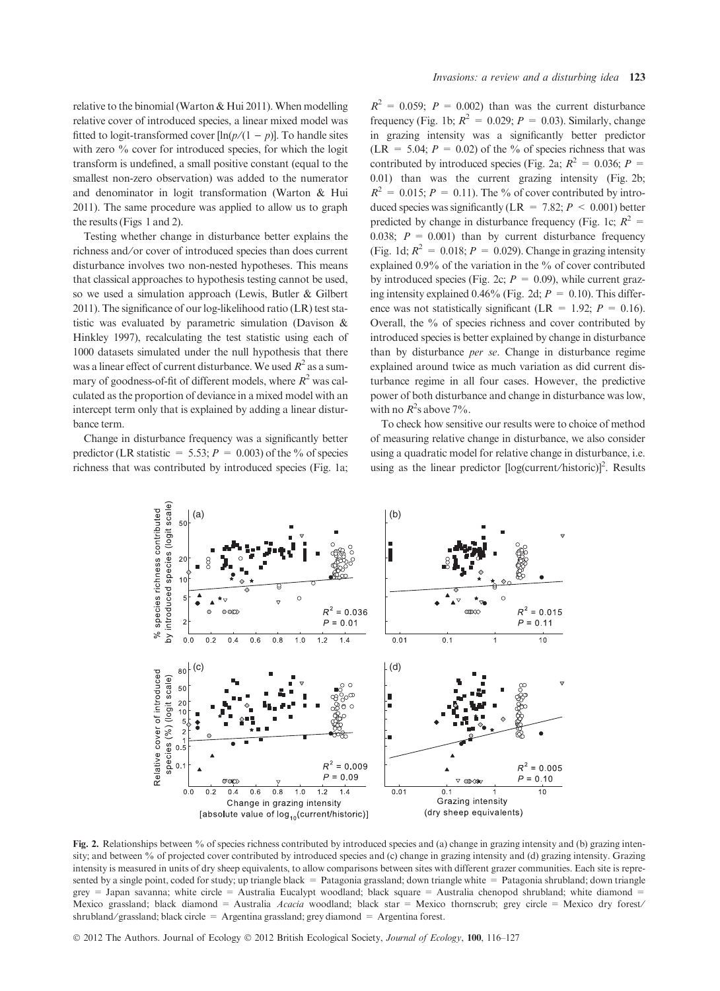relative to the binomial (Warton & Hui 2011). When modelling relative cover of introduced species, a linear mixed model was fitted to logit-transformed cover  $[\ln(p/(1 - p))]$ . To handle sites with zero % cover for introduced species, for which the logit transform is undefined, a small positive constant (equal to the smallest non-zero observation) was added to the numerator and denominator in logit transformation (Warton & Hui 2011). The same procedure was applied to allow us to graph the results (Figs 1 and 2).

Testing whether change in disturbance better explains the richness and⁄ or cover of introduced species than does current disturbance involves two non-nested hypotheses. This means that classical approaches to hypothesis testing cannot be used, so we used a simulation approach (Lewis, Butler & Gilbert 2011). The significance of our log-likelihood ratio (LR) test statistic was evaluated by parametric simulation (Davison & Hinkley 1997), recalculating the test statistic using each of 1000 datasets simulated under the null hypothesis that there was a linear effect of current disturbance. We used  $R^2$  as a summary of goodness-of-fit of different models, where  $R^2$  was calculated as the proportion of deviance in a mixed model with an intercept term only that is explained by adding a linear disturbance term.

Change in disturbance frequency was a significantly better predictor (LR statistic = 5.53;  $P = 0.003$ ) of the % of species richness that was contributed by introduced species (Fig. 1a;

 $R^2 = 0.059$ ;  $P = 0.002$ ) than was the current disturbance frequency (Fig. 1b;  $R^2 = 0.029$ ;  $P = 0.03$ ). Similarly, change in grazing intensity was a significantly better predictor (LR = 5.04;  $P = 0.02$ ) of the % of species richness that was contributed by introduced species (Fig. 2a;  $R^2 = 0.036$ ;  $P =$ 0.01) than was the current grazing intensity (Fig. 2b;  $R^2 = 0.015$ ;  $P = 0.11$ ). The % of cover contributed by introduced species was significantly (LR = 7.82;  $P < 0.001$ ) better predicted by change in disturbance frequency (Fig. 1c;  $R^2$  = 0.038;  $P = 0.001$ ) than by current disturbance frequency (Fig. 1d;  $R^2 = 0.018$ ;  $P = 0.029$ ). Change in grazing intensity explained 0.9% of the variation in the % of cover contributed by introduced species (Fig. 2c;  $P = 0.09$ ), while current grazing intensity explained 0.46% (Fig. 2d;  $P = 0.10$ ). This difference was not statistically significant (LR = 1.92;  $P = 0.16$ ). Overall, the % of species richness and cover contributed by introduced species is better explained by change in disturbance than by disturbance per se. Change in disturbance regime explained around twice as much variation as did current disturbance regime in all four cases. However, the predictive power of both disturbance and change in disturbance was low, with no  $R^2$ s above 7%.

To check how sensitive our results were to choice of method of measuring relative change in disturbance, we also consider using a quadratic model for relative change in disturbance, i.e. using as the linear predictor [log(current/historic)]<sup>2</sup>. Results



Fig. 2. Relationships between % of species richness contributed by introduced species and (a) change in grazing intensity and (b) grazing intensity; and between % of projected cover contributed by introduced species and (c) change in grazing intensity and (d) grazing intensity. Grazing intensity is measured in units of dry sheep equivalents, to allow comparisons between sites with different grazer communities. Each site is represented by a single point, coded for study; up triangle black = Patagonia grassland; down triangle white = Patagonia shrubland; down triangle grey = Japan savanna; white circle = Australia Eucalypt woodland; black square = Australia chenopod shrubland; white diamond = Mexico grassland; black diamond = Australia Acacia woodland; black star = Mexico thornscrub; grey circle = Mexico dry forest/ shrubland/grassland; black circle = Argentina grassland; grey diamond = Argentina forest.

© 2012 The Authors. Journal of Ecology © 2012 British Ecological Society, Journal of Ecology, 100, 116–127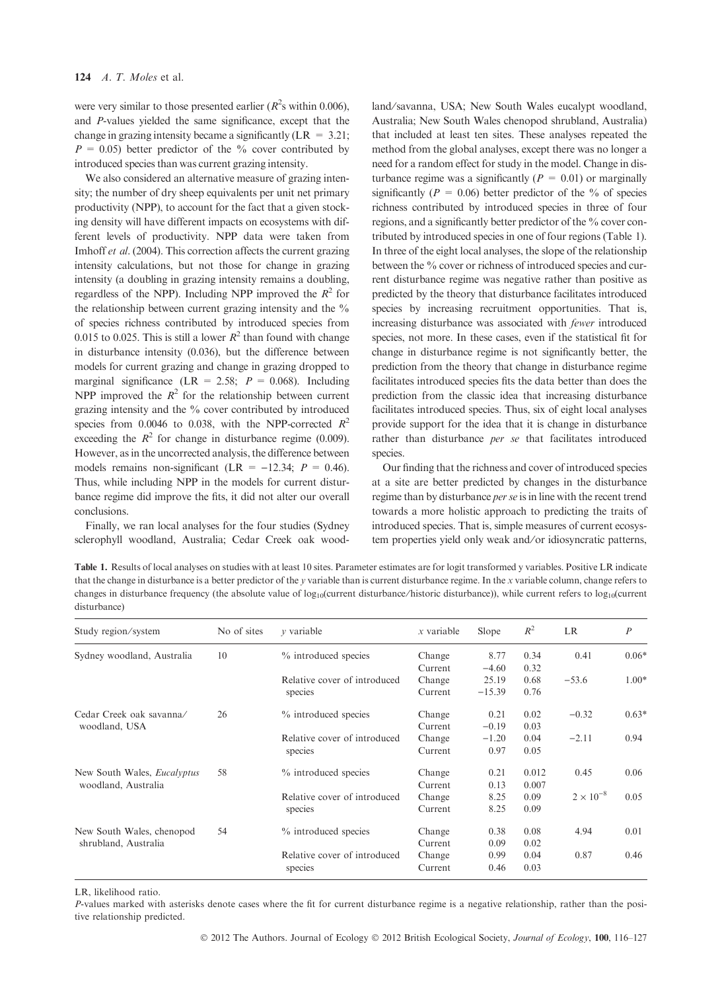were very similar to those presented earlier ( $R^2$ s within 0.006), and P-values yielded the same significance, except that the change in grazing intensity became a significantly  $(LR = 3.21)$ ;  $P = 0.05$ ) better predictor of the % cover contributed by introduced species than was current grazing intensity.

We also considered an alternative measure of grazing intensity; the number of dry sheep equivalents per unit net primary productivity (NPP), to account for the fact that a given stocking density will have different impacts on ecosystems with different levels of productivity. NPP data were taken from Imhoff et al. (2004). This correction affects the current grazing intensity calculations, but not those for change in grazing intensity (a doubling in grazing intensity remains a doubling, regardless of the NPP). Including NPP improved the  $R^2$  for the relationship between current grazing intensity and the % of species richness contributed by introduced species from 0.015 to 0.025. This is still a lower  $R^2$  than found with change in disturbance intensity (0.036), but the difference between models for current grazing and change in grazing dropped to marginal significance (LR = 2.58;  $P = 0.068$ ). Including NPP improved the  $R^2$  for the relationship between current grazing intensity and the % cover contributed by introduced species from 0.0046 to 0.038, with the NPP-corrected  $R^2$ exceeding the  $R^2$  for change in disturbance regime (0.009). However, as in the uncorrected analysis, the difference between models remains non-significant (LR =  $-12.34$ ;  $P = 0.46$ ). Thus, while including NPP in the models for current disturbance regime did improve the fits, it did not alter our overall conclusions.

Finally, we ran local analyses for the four studies (Sydney sclerophyll woodland, Australia; Cedar Creek oak woodland⁄savanna, USA; New South Wales eucalypt woodland, Australia; New South Wales chenopod shrubland, Australia) that included at least ten sites. These analyses repeated the method from the global analyses, except there was no longer a need for a random effect for study in the model. Change in disturbance regime was a significantly ( $P = 0.01$ ) or marginally significantly ( $P = 0.06$ ) better predictor of the % of species richness contributed by introduced species in three of four regions, and a significantly better predictor of the % cover contributed by introduced species in one of four regions (Table 1). In three of the eight local analyses, the slope of the relationship between the % cover or richness of introduced species and current disturbance regime was negative rather than positive as predicted by the theory that disturbance facilitates introduced species by increasing recruitment opportunities. That is, increasing disturbance was associated with fewer introduced species, not more. In these cases, even if the statistical fit for change in disturbance regime is not significantly better, the prediction from the theory that change in disturbance regime facilitates introduced species fits the data better than does the prediction from the classic idea that increasing disturbance facilitates introduced species. Thus, six of eight local analyses provide support for the idea that it is change in disturbance rather than disturbance per se that facilitates introduced species.

Our finding that the richness and cover of introduced species at a site are better predicted by changes in the disturbance regime than by disturbance per se is in line with the recent trend towards a more holistic approach to predicting the traits of introduced species. That is, simple measures of current ecosystem properties yield only weak and/or idiosyncratic patterns,

Table 1. Results of local analyses on studies with at least 10 sites. Parameter estimates are for logit transformed y variables. Positive LR indicate that the change in disturbance is a better predictor of the y variable than is current disturbance regime. In the x variable column, change refers to changes in disturbance frequency (the absolute value of  $log_{10}$ (current disturbance/historic disturbance)), while current refers to  $log_{10}$ (current disturbance)

| Study region/system                                       | No of sites | $\nu$ variable                          | $x$ variable | Slope    | $R^2$ | LR                 | $\boldsymbol{P}$ |
|-----------------------------------------------------------|-------------|-----------------------------------------|--------------|----------|-------|--------------------|------------------|
| Sydney woodland, Australia                                | 10          | % introduced species                    | Change       | 8.77     | 0.34  | 0.41               | $0.06*$          |
|                                                           |             |                                         | Current      | $-4.60$  | 0.32  |                    |                  |
|                                                           |             | Relative cover of introduced            | Change       | 25.19    | 0.68  | $-53.6$            | $1.00*$          |
|                                                           |             | species                                 | Current      | $-15.39$ | 0.76  |                    |                  |
| Cedar Creek oak savanna/<br>woodland, USA                 | 26          | % introduced species                    | Change       | 0.21     | 0.02  | $-0.32$            | $0.63*$          |
|                                                           |             |                                         | Current      | $-0.19$  | 0.03  |                    |                  |
|                                                           |             | Relative cover of introduced<br>species | Change       | $-1.20$  | 0.04  | $-2.11$            | 0.94             |
|                                                           |             |                                         | Current      | 0.97     | 0.05  |                    |                  |
| New South Wales, <i>Eucalyptus</i><br>woodland, Australia | 58          | $\%$ introduced species                 | Change       | 0.21     | 0.012 | 0.45               | 0.06             |
|                                                           |             |                                         | Current      | 0.13     | 0.007 |                    |                  |
|                                                           |             | Relative cover of introduced<br>species | Change       | 8.25     | 0.09  | $2 \times 10^{-8}$ | 0.05             |
|                                                           |             |                                         | Current      | 8.25     | 0.09  |                    |                  |
| New South Wales, chenopod<br>shrubland, Australia         | 54          | % introduced species                    | Change       | 0.38     | 0.08  | 4.94               | 0.01             |
|                                                           |             |                                         | Current      | 0.09     | 0.02  |                    |                  |
|                                                           |             | Relative cover of introduced            | Change       | 0.99     | 0.04  | 0.87               | 0.46             |
|                                                           |             | species                                 | Current      | 0.46     | 0.03  |                    |                  |

LR, likelihood ratio.

P-values marked with asterisks denote cases where the fit for current disturbance regime is a negative relationship, rather than the positive relationship predicted.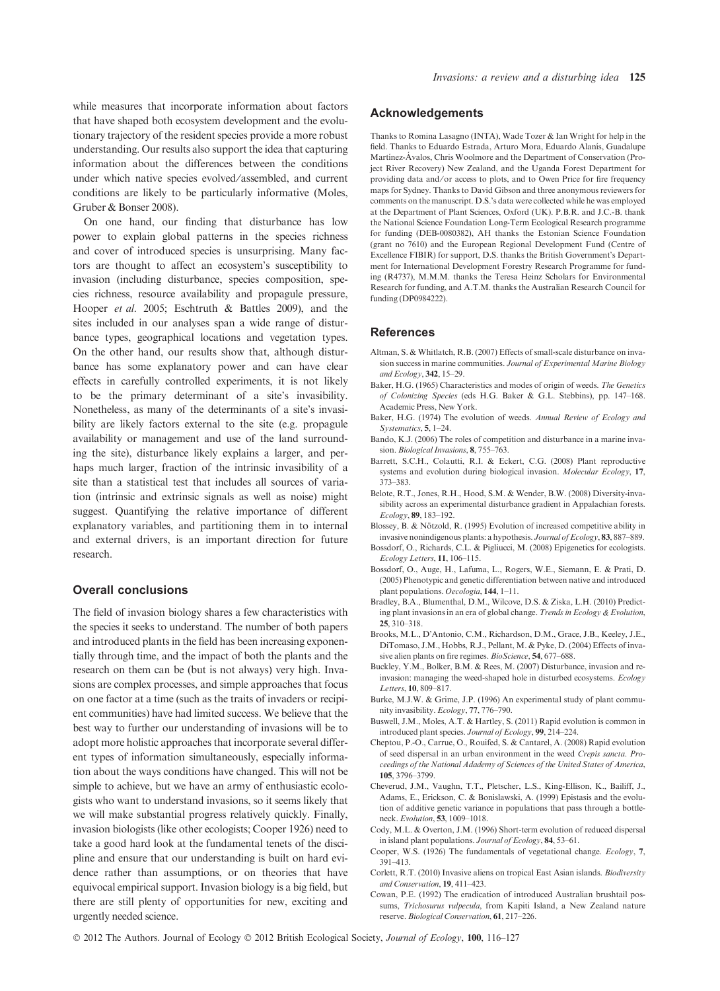while measures that incorporate information about factors that have shaped both ecosystem development and the evolutionary trajectory of the resident species provide a more robust understanding. Our results also support the idea that capturing information about the differences between the conditions under which native species evolved/assembled, and current conditions are likely to be particularly informative (Moles, Gruber & Bonser 2008).

On one hand, our finding that disturbance has low power to explain global patterns in the species richness and cover of introduced species is unsurprising. Many factors are thought to affect an ecosystem's susceptibility to invasion (including disturbance, species composition, species richness, resource availability and propagule pressure, Hooper et al. 2005; Eschtruth & Battles 2009), and the sites included in our analyses span a wide range of disturbance types, geographical locations and vegetation types. On the other hand, our results show that, although disturbance has some explanatory power and can have clear effects in carefully controlled experiments, it is not likely to be the primary determinant of a site's invasibility. Nonetheless, as many of the determinants of a site's invasibility are likely factors external to the site (e.g. propagule availability or management and use of the land surrounding the site), disturbance likely explains a larger, and perhaps much larger, fraction of the intrinsic invasibility of a site than a statistical test that includes all sources of variation (intrinsic and extrinsic signals as well as noise) might suggest. Quantifying the relative importance of different explanatory variables, and partitioning them in to internal and external drivers, is an important direction for future research.

### Overall conclusions

The field of invasion biology shares a few characteristics with the species it seeks to understand. The number of both papers and introduced plants in the field has been increasing exponentially through time, and the impact of both the plants and the research on them can be (but is not always) very high. Invasions are complex processes, and simple approaches that focus on one factor at a time (such as the traits of invaders or recipient communities) have had limited success. We believe that the best way to further our understanding of invasions will be to adopt more holistic approaches that incorporate several different types of information simultaneously, especially information about the ways conditions have changed. This will not be simple to achieve, but we have an army of enthusiastic ecologists who want to understand invasions, so it seems likely that we will make substantial progress relatively quickly. Finally, invasion biologists (like other ecologists; Cooper 1926) need to take a good hard look at the fundamental tenets of the discipline and ensure that our understanding is built on hard evidence rather than assumptions, or on theories that have equivocal empirical support. Invasion biology is a big field, but there are still plenty of opportunities for new, exciting and urgently needed science.

#### Acknowledgements

Thanks to Romina Lasagno (INTA), Wade Tozer & Ian Wright for help in the field. Thanks to Eduardo Estrada, Arturo Mora, Eduardo Alanís, Guadalupe Martínez-Ávalos, Chris Woolmore and the Department of Conservation (Project River Recovery) New Zealand, and the Uganda Forest Department for providing data and ⁄ or access to plots, and to Owen Price for fire frequency maps for Sydney. Thanks to David Gibson and three anonymous reviewers for comments on the manuscript. D.S.'s data were collected while he was employed at the Department of Plant Sciences, Oxford (UK). P.B.R. and J.C.-B. thank the National Science Foundation Long-Term Ecological Research programme for funding (DEB-0080382), AH thanks the Estonian Science Foundation (grant no 7610) and the European Regional Development Fund (Centre of Excellence FIBIR) for support, D.S. thanks the British Government's Department for International Development Forestry Research Programme for funding (R4737), M.M.M. thanks the Teresa Heinz Scholars for Environmental Research for funding, and A.T.M. thanks the Australian Research Council for funding (DP0984222).

#### References

- Altman, S. & Whitlatch, R.B. (2007) Effects of small-scale disturbance on invasion success in marine communities. Journal of Experimental Marine Biology and Ecology, 342, 15–29.
- Baker, H.G. (1965) Characteristics and modes of origin of weeds. The Genetics of Colonizing Species (eds H.G. Baker & G.L. Stebbins), pp. 147–168. Academic Press, New York.
- Baker, H.G. (1974) The evolution of weeds. Annual Review of Ecology and Systematics, 5, 1–24.
- Bando, K.J. (2006) The roles of competition and disturbance in a marine invasion. Biological Invasions, 8, 755–763.
- Barrett, S.C.H., Colautti, R.I. & Eckert, C.G. (2008) Plant reproductive systems and evolution during biological invasion. Molecular Ecology, 17, 373–383.
- Belote, R.T., Jones, R.H., Hood, S.M. & Wender, B.W. (2008) Diversity-invasibility across an experimental disturbance gradient in Appalachian forests. Ecology, 89, 183–192.
- Blossey, B. & Nötzold, R. (1995) Evolution of increased competitive ability in invasive nonindigenous plants: a hypothesis. Journal of Ecology, 83, 887–889.
- Bossdorf, O., Richards, C.L. & Pigliucci, M. (2008) Epigenetics for ecologists. Ecology Letters, 11, 106–115.
- Bossdorf, O., Auge, H., Lafuma, L., Rogers, W.E., Siemann, E. & Prati, D. (2005) Phenotypic and genetic differentiation between native and introduced plant populations. Oecologia, 144, 1–11.
- Bradley, B.A., Blumenthal, D.M., Wilcove, D.S. & Ziska, L.H. (2010) Predicting plant invasions in an era of global change. Trends in Ecology & Evolution, 25, 310–318.
- Brooks, M.L., D'Antonio, C.M., Richardson, D.M., Grace, J.B., Keeley, J.E., DiTomaso, J.M., Hobbs, R.J., Pellant, M. & Pyke, D. (2004) Effects of invasive alien plants on fire regimes. BioScience, 54, 677–688.
- Buckley, Y.M., Bolker, B.M. & Rees, M. (2007) Disturbance, invasion and reinvasion: managing the weed-shaped hole in disturbed ecosystems. Ecology Letters, 10, 809–817.
- Burke, M.J.W. & Grime, J.P. (1996) An experimental study of plant community invasibility. Ecology, 77, 776–790.
- Buswell, J.M., Moles, A.T. & Hartley, S. (2011) Rapid evolution is common in introduced plant species. Journal of Ecology, 99, 214–224.
- Cheptou, P.-O., Carrue, O., Rouifed, S. & Cantarel, A. (2008) Rapid evolution of seed dispersal in an urban environment in the weed Crepis sancta. Proceedings of the National Adademy of Sciences of the United States of America, 105, 3796–3799.
- Cheverud, J.M., Vaughn, T.T., Pletscher, L.S., King-Ellison, K., Bailiff, J., Adams, E., Erickson, C. & Bonislawski, A. (1999) Epistasis and the evolution of additive genetic variance in populations that pass through a bottleneck. Evolution, 53, 1009–1018.
- Cody, M.L. & Overton, J.M. (1996) Short-term evolution of reduced dispersal in island plant populations. Journal of Ecology, 84, 53–61.
- Cooper, W.S. (1926) The fundamentals of vegetational change. Ecology, 7, 391–413.
- Corlett, R.T. (2010) Invasive aliens on tropical East Asian islands. Biodiversity and Conservation, 19, 411–423.
- Cowan, P.E. (1992) The eradication of introduced Australian brushtail possums, Trichosurus vulpecula, from Kapiti Island, a New Zealand nature reserve. Biological Conservation, 61, 217–226.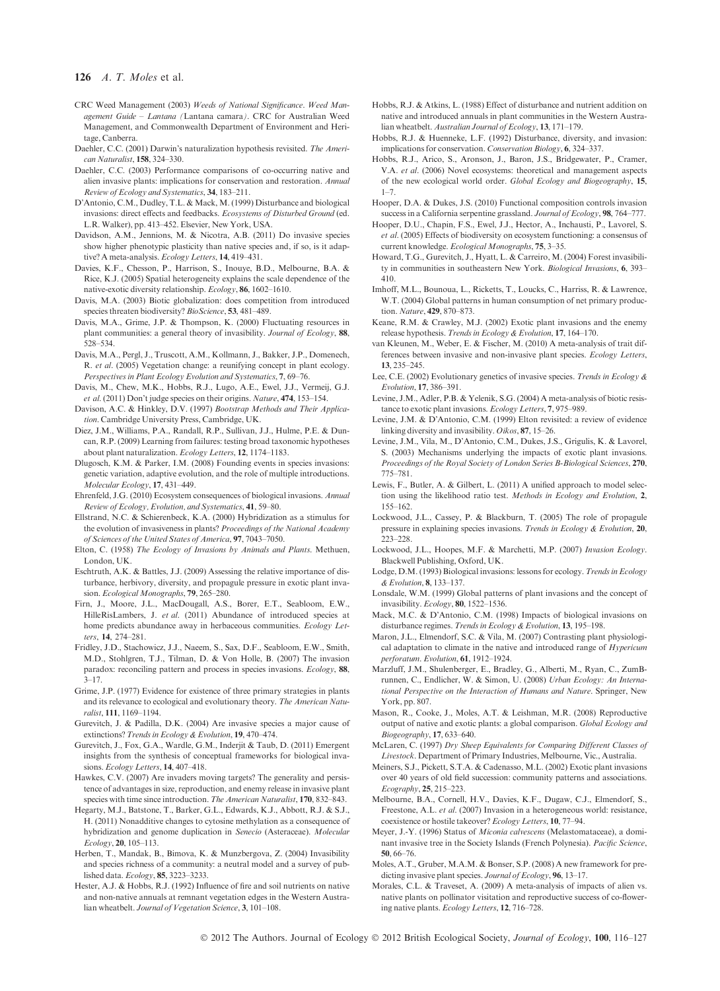- CRC Weed Management (2003) Weeds of National Significance. Weed Management Guide – Lantana (Lantana camara). CRC for Australian Weed Management, and Commonwealth Department of Environment and Heritage, Canberra.
- Daehler, C.C. (2001) Darwin's naturalization hypothesis revisited. The American Naturalist, 158, 324–330.
- Daehler, C.C. (2003) Performance comparisons of co-occurring native and alien invasive plants: implications for conservation and restoration. Annual Review of Ecology and Systematics, 34, 183–211.
- D'Antonio, C.M., Dudley, T.L. & Mack, M. (1999) Disturbance and biological invasions: direct effects and feedbacks. Ecosystems of Disturbed Ground (ed. L.R. Walker), pp. 413–452. Elsevier, New York, USA.
- Davidson, A.M., Jennions, M. & Nicotra, A.B. (2011) Do invasive species show higher phenotypic plasticity than native species and, if so, is it adaptive? A meta-analysis. Ecology Letters, 14, 419–431.
- Davies, K.F., Chesson, P., Harrison, S., Inouye, B.D., Melbourne, B.A. & Rice, K.J. (2005) Spatial heterogeneity explains the scale dependence of the native-exotic diversity relationship. Ecology, 86, 1602–1610.
- Davis, M.A. (2003) Biotic globalization: does competition from introduced species threaten biodiversity? BioScience, 53, 481–489.
- Davis, M.A., Grime, J.P. & Thompson, K. (2000) Fluctuating resources in plant communities: a general theory of invasibility. Journal of Ecology, 88, 528–534.
- Davis, M.A., Pergl, J., Truscott, A.M., Kollmann, J., Bakker, J.P., Domenech, R. et al. (2005) Vegetation change: a reunifying concept in plant ecology. Perspectives in Plant Ecology Evolution and Systematics, 7, 69–76.
- Davis, M., Chew, M.K., Hobbs, R.J., Lugo, A.E., Ewel, J.J., Vermeij, G.J. et al. (2011) Don't judge species on their origins. Nature, 474, 153–154.
- Davison, A.C. & Hinkley, D.V. (1997) Bootstrap Methods and Their Application. Cambridge University Press, Cambridge, UK.
- Diez, J.M., Williams, P.A., Randall, R.P., Sullivan, J.J., Hulme, P.E. & Duncan, R.P. (2009) Learning from failures: testing broad taxonomic hypotheses about plant naturalization. Ecology Letters, 12, 1174–1183.
- Dlugosch, K.M. & Parker, I.M. (2008) Founding events in species invasions: genetic variation, adaptive evolution, and the role of multiple introductions. Molecular Ecology, 17, 431–449.
- Ehrenfeld, J.G. (2010) Ecosystem consequences of biological invasions. Annual Review of Ecology, Evolution, and Systematics, 41, 59–80.
- Ellstrand, N.C. & Schierenbeck, K.A. (2000) Hybridization as a stimulus for the evolution of invasiveness in plants? Proceedings of the National Academy of Sciences of the United States of America, 97, 7043–7050.
- Elton, C. (1958) The Ecology of Invasions by Animals and Plants. Methuen, London, UK.
- Eschtruth, A.K. & Battles, J.J. (2009) Assessing the relative importance of disturbance, herbivory, diversity, and propagule pressure in exotic plant invasion. Ecological Monographs, 79, 265–280.
- Firn, J., Moore, J.L., MacDougall, A.S., Borer, E.T., Seabloom, E.W., HilleRisLambers, J. et al. (2011) Abundance of introduced species at home predicts abundance away in herbaceous communities. Ecology Letters, 14, 274–281.
- Fridley, J.D., Stachowicz, J.J., Naeem, S., Sax, D.F., Seabloom, E.W., Smith, M.D., Stohlgren, T.J., Tilman, D. & Von Holle, B. (2007) The invasion paradox: reconciling pattern and process in species invasions. Ecology, 88, 3–17.
- Grime, J.P. (1977) Evidence for existence of three primary strategies in plants and its relevance to ecological and evolutionary theory. The American Naturalist, 111, 1169–1194.
- Gurevitch, J. & Padilla, D.K. (2004) Are invasive species a major cause of extinctions? Trends in Ecology & Evolution, 19, 470-474.
- Gurevitch, J., Fox, G.A., Wardle, G.M., Inderjit & Taub, D. (2011) Emergent insights from the synthesis of conceptual frameworks for biological invasions. Ecology Letters, 14, 407–418.
- Hawkes, C.V. (2007) Are invaders moving targets? The generality and persistence of advantages in size, reproduction, and enemy release in invasive plant species with time since introduction. The American Naturalist, 170, 832–843.
- Hegarty, M.J., Batstone, T., Barker, G.L., Edwards, K.J., Abbott, R.J. & S.J., H. (2011) Nonadditive changes to cytosine methylation as a consequence of hybridization and genome duplication in Senecio (Asteraceae). Molecular Ecology, 20, 105–113.
- Herben, T., Mandak, B., Bimova, K. & Munzbergova, Z. (2004) Invasibility and species richness of a community: a neutral model and a survey of published data. Ecology, 85, 3223–3233.
- Hester, A.J. & Hobbs, R.J. (1992) Influence of fire and soil nutrients on native and non-native annuals at remnant vegetation edges in the Western Australian wheatbelt. Journal of Vegetation Science, 3, 101-108.
- Hobbs, R.J. & Atkins, L. (1988) Effect of disturbance and nutrient addition on native and introduced annuals in plant communities in the Western Australian wheatbelt. Australian Journal of Ecology, 13, 171-179.
- Hobbs, R.J. & Huenneke, L.F. (1992) Disturbance, diversity, and invasion: implications for conservation. Conservation Biology, 6, 324–337.
- Hobbs, R.J., Arico, S., Aronson, J., Baron, J.S., Bridgewater, P., Cramer, V.A. et al. (2006) Novel ecosystems: theoretical and management aspects of the new ecological world order. Global Ecology and Biogeography, 15,  $1 - 7$
- Hooper, D.A. & Dukes, J.S. (2010) Functional composition controls invasion success in a California serpentine grassland. Journal of Ecology, 98, 764–777.
- Hooper, D.U., Chapin, F.S., Ewel, J.J., Hector, A., Inchausti, P., Lavorel, S. et al. (2005) Effects of biodiversity on ecosystem functioning: a consensus of current knowledge. Ecological Monographs, 75, 3–35.
- Howard, T.G., Gurevitch, J., Hyatt, L. & Carreiro, M. (2004) Forest invasibility in communities in southeastern New York. Biological Invasions, 6, 393– 410.
- Imhoff, M.L., Bounoua, L., Ricketts, T., Loucks, C., Harriss, R. & Lawrence, W.T. (2004) Global patterns in human consumption of net primary production. Nature, 429, 870–873.
- Keane, R.M. & Crawley, M.J. (2002) Exotic plant invasions and the enemy release hypothesis. Trends in Ecology & Evolution, 17, 164–170.
- van Kleunen, M., Weber, E. & Fischer, M. (2010) A meta-analysis of trait differences between invasive and non-invasive plant species. Ecology Letters, 13, 235–245.
- Lee, C.E. (2002) Evolutionary genetics of invasive species. Trends in Ecology & Evolution, 17, 386–391.
- Levine, J.M., Adler, P.B. & Yelenik, S.G. (2004) A meta-analysis of biotic resistance to exotic plant invasions. Ecology Letters, 7, 975–989.
- Levine, J.M. & D'Antonio, C.M. (1999) Elton revisited: a review of evidence linking diversity and invasibility. Oikos, 87, 15–26.
- Levine, J.M., Vila, M., D'Antonio, C.M., Dukes, J.S., Grigulis, K. & Lavorel, S. (2003) Mechanisms underlying the impacts of exotic plant invasions. Proceedings of the Royal Society of London Series B-Biological Sciences, 270, 775–781.
- Lewis, F., Butler, A. & Gilbert, L. (2011) A unified approach to model selection using the likelihood ratio test. Methods in Ecology and Evolution, 2, 155–162.
- Lockwood, J.L., Cassey, P. & Blackburn, T. (2005) The role of propagule pressure in explaining species invasions. Trends in Ecology & Evolution, 20, 223–228.
- Lockwood, J.L., Hoopes, M.F. & Marchetti, M.P. (2007) Invasion Ecology. Blackwell Publishing, Oxford, UK.
- Lodge, D.M. (1993) Biological invasions: lessons for ecology. Trends in Ecology & Evolution, 8, 133–137.
- Lonsdale, W.M. (1999) Global patterns of plant invasions and the concept of invasibility. Ecology, 80, 1522–1536.
- Mack, M.C. & D'Antonio, C.M. (1998) Impacts of biological invasions on disturbance regimes. Trends in Ecology & Evolution, 13, 195–198.
- Maron, J.L., Elmendorf, S.C. & Vila, M. (2007) Contrasting plant physiological adaptation to climate in the native and introduced range of Hypericum perforatum. Evolution, 61, 1912–1924.
- Marzluff, J.M., Shulenberger, E., Bradley, G., Alberti, M., Ryan, C., ZumBrunnen, C., Endlicher, W. & Simon, U. (2008) Urban Ecology: An International Perspective on the Interaction of Humans and Nature. Springer, New York, pp. 807.
- Mason, R., Cooke, J., Moles, A.T. & Leishman, M.R. (2008) Reproductive output of native and exotic plants: a global comparison. Global Ecology and Biogeography, 17, 633–640.
- McLaren, C. (1997) Dry Sheep Equivalents for Comparing Different Classes of Livestock. Department of Primary Industries, Melbourne, Vic., Australia.
- Meiners, S.J., Pickett, S.T.A. & Cadenasso, M.L. (2002) Exotic plant invasions over 40 years of old field succession: community patterns and associations. Ecography, 25, 215–223.
- Melbourne, B.A., Cornell, H.V., Davies, K.F., Dugaw, C.J., Elmendorf, S., Freestone, A.L. et al. (2007) Invasion in a heterogeneous world: resistance, coexistence or hostile takeover? Ecology Letters, 10, 77–94.
- Meyer, J.-Y. (1996) Status of Miconia calvescens (Melastomataceae), a dominant invasive tree in the Society Islands (French Polynesia). Pacific Science, 50, 66–76.
- Moles, A.T., Gruber, M.A.M. & Bonser, S.P. (2008) A new framework for predicting invasive plant species. Journal of Ecology, 96, 13-17.
- Morales, C.L. & Traveset, A. (2009) A meta-analysis of impacts of alien vs. native plants on pollinator visitation and reproductive success of co-flowering native plants. Ecology Letters, 12, 716–728.